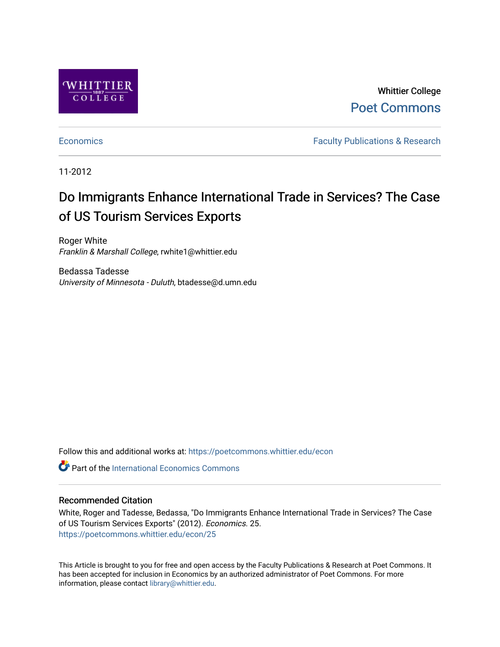

Whittier College [Poet Commons](https://poetcommons.whittier.edu/) 

[Economics](https://poetcommons.whittier.edu/econ) **Faculty Publications & Research** 

11-2012

## Do Immigrants Enhance International Trade in Services? The Case of US Tourism Services Exports

Roger White Franklin & Marshall College, rwhite1@whittier.edu

Bedassa Tadesse University of Minnesota - Duluth, btadesse@d.umn.edu

Follow this and additional works at: [https://poetcommons.whittier.edu/econ](https://poetcommons.whittier.edu/econ?utm_source=poetcommons.whittier.edu%2Fecon%2F25&utm_medium=PDF&utm_campaign=PDFCoverPages)

**C** Part of the International Economics Commons

#### Recommended Citation

White, Roger and Tadesse, Bedassa, "Do Immigrants Enhance International Trade in Services? The Case of US Tourism Services Exports" (2012). Economics. 25. [https://poetcommons.whittier.edu/econ/25](https://poetcommons.whittier.edu/econ/25?utm_source=poetcommons.whittier.edu%2Fecon%2F25&utm_medium=PDF&utm_campaign=PDFCoverPages) 

This Article is brought to you for free and open access by the Faculty Publications & Research at Poet Commons. It has been accepted for inclusion in Economics by an authorized administrator of Poet Commons. For more information, please contact [library@whittier.edu.](mailto:library@whittier.edu)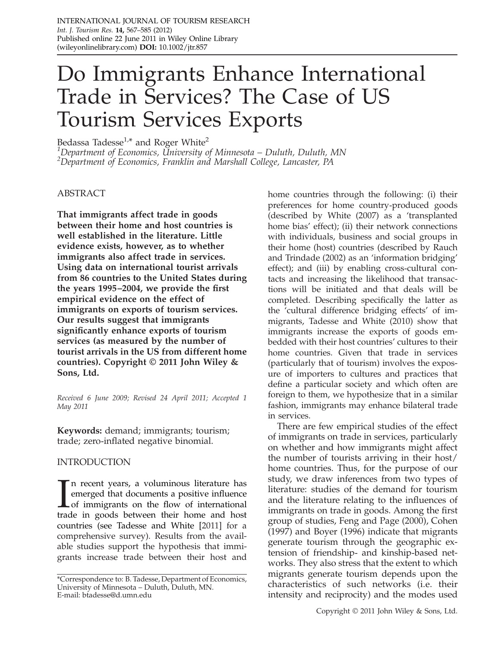# Do Immigrants Enhance International Trade in Services? The Case of US Tourism Services Exports

Bedassa Tadesse<sup>1,\*</sup> and Roger White<sup>2</sup>

<sup>1</sup>Department of Economics, University of Minnesota – Duluth, Duluth, MN<br><sup>2</sup>Department of Economics, Franklin and Marshall College, Lancaster, PA <sup>2</sup>Department of Economics, Franklin and Marshall College, Lancaster, PA

ABSTRACT

That immigrants affect trade in goods between their home and host countries is well established in the literature. Little evidence exists, however, as to whether immigrants also affect trade in services. Using data on international tourist arrivals from 86 countries to the United States during the years 1995–2004, we provide the first empirical evidence on the effect of immigrants on exports of tourism services. Our results suggest that immigrants significantly enhance exports of tourism services (as measured by the number of tourist arrivals in the US from different home countries). Copyright © 2011 John Wiley & Sons, Ltd.

Received 6 June 2009; Revised 24 April 2011; Accepted 1 May 2011

Keywords: demand; immigrants; tourism; trade; zero‐inflated negative binomial.

#### INTRODUCTION

In recent years, a voluminous literature has<br>emerged that documents a positive influence<br>of immigrants on the flow of international<br>trade in goods between their home and host n recent years, a voluminous literature has emerged that documents a positive influence of immigrants on the flow of international countries (see Tadesse and White [2011] for a comprehensive survey). Results from the available studies support the hypothesis that immigrants increase trade between their host and home countries through the following: (i) their preferences for home country‐produced goods (described by White (2007) as a 'transplanted home bias' effect); (ii) their network connections with individuals, business and social groups in their home (host) countries (described by Rauch and Trindade (2002) as an 'information bridging' effect); and (iii) by enabling cross-cultural contacts and increasing the likelihood that transactions will be initiated and that deals will be completed. Describing specifically the latter as the 'cultural difference bridging effects' of immigrants, Tadesse and White (2010) show that immigrants increase the exports of goods embedded with their host countries' cultures to their home countries. Given that trade in services (particularly that of tourism) involves the exposure of importers to cultures and practices that define a particular society and which often are foreign to them, we hypothesize that in a similar fashion, immigrants may enhance bilateral trade in services.

There are few empirical studies of the effect of immigrants on trade in services, particularly on whether and how immigrants might affect the number of tourists arriving in their host/ home countries. Thus, for the purpose of our study, we draw inferences from two types of literature: studies of the demand for tourism and the literature relating to the influences of immigrants on trade in goods. Among the first group of studies, Feng and Page (2000), Cohen (1997) and Boyer (1996) indicate that migrants generate tourism through the geographic extension of friendship‐ and kinship‐based networks. They also stress that the extent to which migrants generate tourism depends upon the characteristics of such networks (i.e. their intensity and reciprocity) and the modes used

<sup>\*</sup>Correspondence to: B. Tadesse, Department of Economics, University of Minnesota – Duluth, Duluth, MN. E-mail: btadesse@d.umn.edu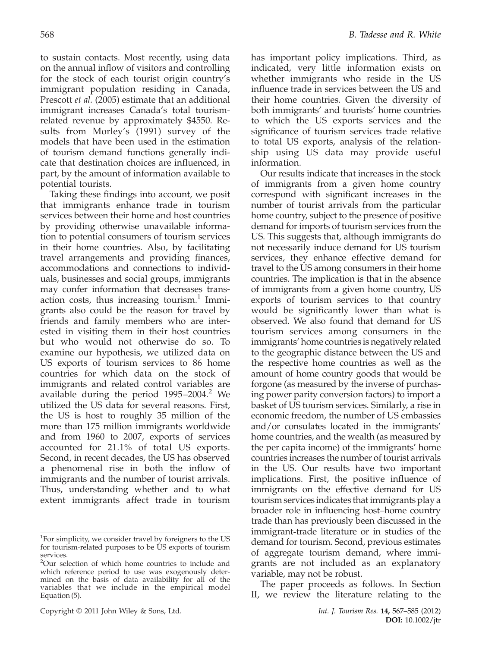to sustain contacts. Most recently, using data on the annual inflow of visitors and controlling for the stock of each tourist origin country's immigrant population residing in Canada, Prescott et al. (2005) estimate that an additional immigrant increases Canada's total tourism‐ related revenue by approximately \$4550. Results from Morley's (1991) survey of the models that have been used in the estimation of tourism demand functions generally indicate that destination choices are influenced, in part, by the amount of information available to potential tourists.

Taking these findings into account, we posit that immigrants enhance trade in tourism services between their home and host countries by providing otherwise unavailable information to potential consumers of tourism services in their home countries. Also, by facilitating travel arrangements and providing finances, accommodations and connections to individuals, businesses and social groups, immigrants may confer information that decreases transaction costs, thus increasing tourism. $1$  Immigrants also could be the reason for travel by friends and family members who are interested in visiting them in their host countries but who would not otherwise do so. To examine our hypothesis, we utilized data on US exports of tourism services to 86 home countries for which data on the stock of immigrants and related control variables are available during the period  $1995-2004$ .<sup>2</sup> We utilized the US data for several reasons. First, the US is host to roughly 35 million of the more than 175 million immigrants worldwide and from 1960 to 2007, exports of services accounted for 21.1% of total US exports. Second, in recent decades, the US has observed a phenomenal rise in both the inflow of immigrants and the number of tourist arrivals. Thus, understanding whether and to what extent immigrants affect trade in tourism

has important policy implications. Third, as indicated, very little information exists on whether immigrants who reside in the US influence trade in services between the US and their home countries. Given the diversity of both immigrants' and tourists' home countries to which the US exports services and the significance of tourism services trade relative to total US exports, analysis of the relationship using US data may provide useful information.

Our results indicate that increases in the stock of immigrants from a given home country correspond with significant increases in the number of tourist arrivals from the particular home country, subject to the presence of positive demand for imports of tourism services from the US. This suggests that, although immigrants do not necessarily induce demand for US tourism services, they enhance effective demand for travel to the US among consumers in their home countries. The implication is that in the absence of immigrants from a given home country, US exports of tourism services to that country would be significantly lower than what is observed. We also found that demand for US tourism services among consumers in the immigrants' home countries is negatively related to the geographic distance between the US and the respective home countries as well as the amount of home country goods that would be forgone (as measured by the inverse of purchasing power parity conversion factors) to import a basket of US tourism services. Similarly, a rise in economic freedom, the number of US embassies and/or consulates located in the immigrants' home countries, and the wealth (as measured by the per capita income) of the immigrants' home countries increases the number of tourist arrivals in the US. Our results have two important implications. First, the positive influence of immigrants on the effective demand for US tourism services indicates that immigrants play a broader role in influencing host–home country trade than has previously been discussed in the immigrant‐trade literature or in studies of the demand for tourism. Second, previous estimates of aggregate tourism demand, where immigrants are not included as an explanatory variable, may not be robust.

The paper proceeds as follows. In Section II, we review the literature relating to the

<sup>&</sup>lt;sup>1</sup>For simplicity, we consider travel by foreigners to the US for tourism‐related purposes to be US exports of tourism services.

<sup>&</sup>lt;sup>2</sup>Our selection of which home countries to include and which reference period to use was exogenously determined on the basis of data availability for all of the variables that we include in the empirical model Equation (5).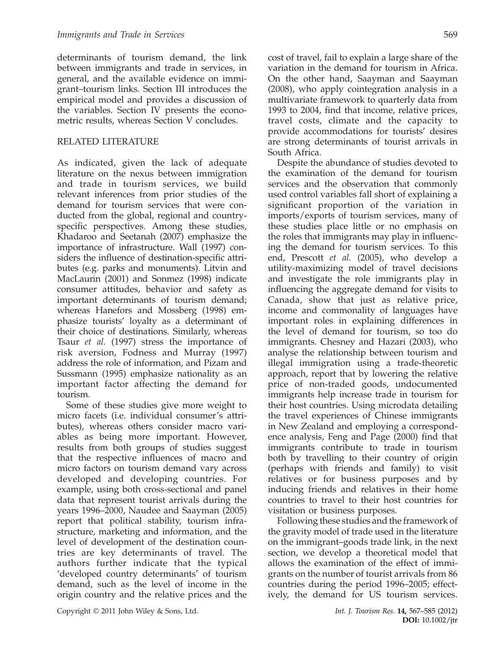determinants of tourism demand, the link between immigrants and trade in services, in general, and the available evidence on immigrant–tourism links. Section III introduces the empirical model and provides a discussion of the variables. Section IV presents the econometric results, whereas Section V concludes.

#### RELATED LITERATURE

As indicated, given the lack of adequate literature on the nexus between immigration and trade in tourism services, we build relevant inferences from prior studies of the demand for tourism services that were conducted from the global, regional and country‐ specific perspectives. Among these studies, Khadaroo and Seetanah (2007) emphasize the importance of infrastructure. Wall (1997) considers the influence of destination‐specific attributes (e.g. parks and monuments). Litvin and MacLaurin (2001) and Sonmez (1998) indicate consumer attitudes, behavior and safety as important determinants of tourism demand; whereas Hanefors and Mossberg (1998) emphasize tourists' loyalty as a determinant of their choice of destinations. Similarly, whereas Tsaur et al. (1997) stress the importance of risk aversion, Fodness and Murray (1997) address the role of information, and Pizam and Sussmann (1995) emphasize nationality as an important factor affecting the demand for tourism.

Some of these studies give more weight to micro facets (i.e. individual consumer's attributes), whereas others consider macro variables as being more important. However, results from both groups of studies suggest that the respective influences of macro and micro factors on tourism demand vary across developed and developing countries. For example, using both cross‐sectional and panel data that represent tourist arrivals during the years 1996–2000, Naudee and Saayman (2005) report that political stability, tourism infrastructure, marketing and information, and the level of development of the destination countries are key determinants of travel. The authors further indicate that the typical 'developed country determinants' of tourism demand, such as the level of income in the origin country and the relative prices and the cost of travel, fail to explain a large share of the variation in the demand for tourism in Africa. On the other hand, Saayman and Saayman (2008), who apply cointegration analysis in a multivariate framework to quarterly data from 1993 to 2004, find that income, relative prices, travel costs, climate and the capacity to provide accommodations for tourists' desires are strong determinants of tourist arrivals in South Africa.

Despite the abundance of studies devoted to the examination of the demand for tourism services and the observation that commonly used control variables fall short of explaining a significant proportion of the variation in imports/exports of tourism services, many of these studies place little or no emphasis on the roles that immigrants may play in influencing the demand for tourism services. To this end, Prescott et al. (2005), who develop a utility‐maximizing model of travel decisions and investigate the role immigrants play in influencing the aggregate demand for visits to Canada, show that just as relative price, income and commonality of languages have important roles in explaining differences in the level of demand for tourism, so too do immigrants. Chesney and Hazari (2003), who analyse the relationship between tourism and illegal immigration using a trade‐theoretic approach, report that by lowering the relative price of non‐traded goods, undocumented immigrants help increase trade in tourism for their host countries. Using microdata detailing the travel experiences of Chinese immigrants in New Zealand and employing a correspondence analysis, Feng and Page (2000) find that immigrants contribute to trade in tourism both by travelling to their country of origin (perhaps with friends and family) to visit relatives or for business purposes and by inducing friends and relatives in their home countries to travel to their host countries for visitation or business purposes.

Following these studies and the framework of the gravity model of trade used in the literature on the immigrant–goods trade link, in the next section, we develop a theoretical model that allows the examination of the effect of immigrants on the number of tourist arrivals from 86 countries during the period 1996–2005; effectively, the demand for US tourism services.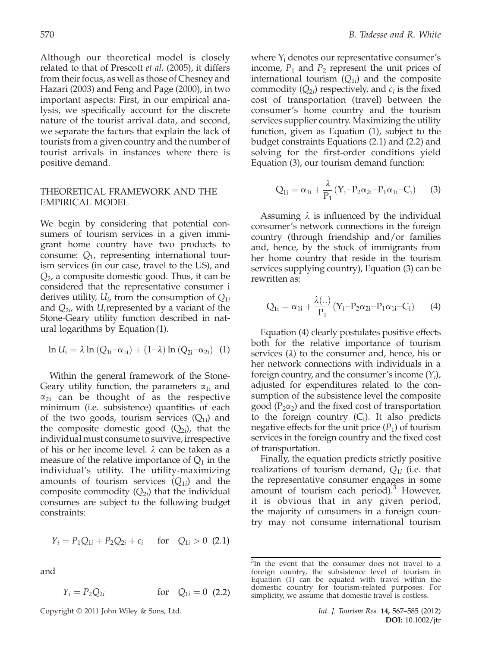Although our theoretical model is closely related to that of Prescott et al. (2005), it differs from their focus, as well as those of Chesney and Hazari (2003) and Feng and Page (2000), in two important aspects: First, in our empirical analysis, we specifically account for the discrete nature of the tourist arrival data, and second, we separate the factors that explain the lack of tourists from a given country and the number of tourist arrivals in instances where there is positive demand.

#### THEORETICAL FRAMEWORK AND THE EMPIRICAL MODEL

We begin by considering that potential consumers of tourism services in a given immigrant home country have two products to consume:  $Q_1$ , representing international tourism services (in our case, travel to the US), and  $Q<sub>2</sub>$ , a composite domestic good. Thus, it can be considered that the representative consumer i derives utility,  $U_i$ , from the consumption of  $Q_{1i}$ and  $Q_{2i}$ , with  $U_i$  represented by a variant of the Stone‐Geary utility function described in natural logarithms by Equation (1).

$$
\ln U_{i} = \lambda \ln (Q_{1i} - \alpha_{1i}) + (1 - \lambda) \ln (Q_{2i} - \alpha_{2i}) \quad (1)
$$

Within the general framework of the Stone‐ Geary utility function, the parameters  $\alpha_{1i}$  and  $\alpha_{2i}$  can be thought of as the respective minimum (i.e. subsistence) quantities of each of the two goods, tourism services  $(Q_{1i})$  and the composite domestic good  $(Q_{2i})$ , that the individual must consume to survive, irrespective of his or her income level. λ can be taken as a measure of the relative importance of  $Q_1$  in the individual's utility. The utility‐maximizing amounts of tourism services  $(Q_{1i})$  and the composite commodity  $(Q_{2i})$  that the individual consumes are subject to the following budget constraints:

$$
Y_i = P_1 Q_{1i} + P_2 Q_{2i} + c_i \quad \text{for} \quad Q_{1i} > 0 \tag{2.1}
$$

and

$$
Y_i = P_2 Q_{2i} \qquad \text{for} \quad Q_{1i} = 0 \quad (2.2) \qquad \frac{1}{s}
$$

Copyright © 2011 John Wiley & Sons, Ltd. Int. J. Tourism Res. 14, 567–585 (2012)

where  $Y_i$  denotes our representative consumer's income,  $P_1$  and  $P_2$  represent the unit prices of international tourism  $(Q_{1i})$  and the composite commodity  $(Q_{2i})$  respectively, and  $c_i$  is the fixed cost of transportation (travel) between the consumer's home country and the tourism services supplier country. Maximizing the utility function, given as Equation (1), subject to the budget constraints Equations (2.1) and (2.2) and solving for the first‐order conditions yield Equation (3), our tourism demand function:

$$
Q_{1i} = \alpha_{1i} + \frac{\lambda}{P_1} (Y_i - P_2 \alpha_{2i} - P_1 \alpha_{1i} - C_i)
$$
 (3)

Assuming  $\lambda$  is influenced by the individual consumer's network connections in the foreign country (through friendship and/or families and, hence, by the stock of immigrants from her home country that reside in the tourism services supplying country), Equation (3) can be rewritten as:

$$
Q_{1i} = \alpha_{1i} + \frac{\lambda(..)}{P_1} (Y_i - P_2 \alpha_{2i} - P_1 \alpha_{1i} - C_i)
$$
 (4)

Equation (4) clearly postulates positive effects both for the relative importance of tourism services  $(\lambda)$  to the consumer and, hence, his or her network connections with individuals in a foreign country, and the consumer's income  $(Y_i)$ , adjusted for expenditures related to the consumption of the subsistence level the composite good  $(P_2\alpha_2)$  and the fixed cost of transportation to the foreign country  $(C_i)$ . It also predicts negative effects for the unit price  $(P_1)$  of tourism services in the foreign country and the fixed cost of transportation.

Finally, the equation predicts strictly positive realizations of tourism demand,  $Q_{1i}$  (i.e. that the representative consumer engages in some amount of tourism each period). $3$  However, it is obvious that in any given period, the majority of consumers in a foreign country may not consume international tourism

<sup>&</sup>lt;sup>3</sup>In the event that the consumer does not travel to a foreign country, the subsistence level of tourism in Equation (1) can be equated with travel within the domestic country for tourism‐related purposes. For simplicity, we assume that domestic travel is costless.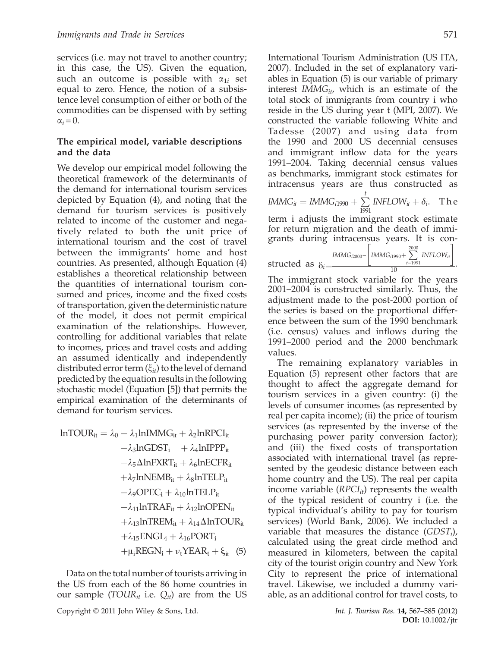services (i.e. may not travel to another country; in this case, the US). Given the equation, such an outcome is possible with  $\alpha_{1i}$  set equal to zero. Hence, the notion of a subsistence level consumption of either or both of the commodities can be dispensed with by setting  $\alpha_i = 0.$ 

#### The empirical model, variable descriptions and the data

We develop our empirical model following the theoretical framework of the determinants of the demand for international tourism services depicted by Equation (4), and noting that the demand for tourism services is positively related to income of the customer and negatively related to both the unit price of international tourism and the cost of travel between the immigrants' home and host countries. As presented, although Equation (4) establishes a theoretical relationship between the quantities of international tourism consumed and prices, income and the fixed costs of transportation, given the deterministic nature of the model, it does not permit empirical examination of the relationships. However, controlling for additional variables that relate to incomes, prices and travel costs and adding an assumed identically and independently distributed error term  $(\xi_{it})$  to the level of demand predicted by the equation results in the following stochastic model (Equation [5]) that permits the empirical examination of the determinants of demand for tourism services.

$$
lnTOUR_{it} = \lambda_0 + \lambda_1 lnIMMG_{it} + \lambda_2 lnRPCI_{it}
$$
  
+  $\lambda_3 ln GDST_i$  +  $\lambda_4 lnIPP_{it}$   
+  $\lambda_5 \Delta lnFXRT_{it} + \lambda_6 lnECFR_{it}$   
+  $\lambda_7 ln NEMB_{it} + \lambda_8 lnTELP_{it}$   
+  $\lambda_9 OPEC_i + \lambda_{10} lnTELP_{it}$   
+  $\lambda_{11} lnTRAF_{it} + \lambda_{12} ln OPEN_{it}$   
+  $\lambda_{13} lnTREM_{it} + \lambda_{14} \Delta lnTOUR_{it}$   
+  $\lambda_{15} ENGL_i + \lambda_{16} PORT_i$   
+  $\mu_i REGN_i + \nu_t YEAR_t + \xi_{it}$  (5)

Data on the total number of tourists arriving in the US from each of the 86 home countries in our sample (TOUR<sub>it</sub> i.e.  $Q_{it}$ ) are from the US International Tourism Administration (US ITA, 2007). Included in the set of explanatory variables in Equation (5) is our variable of primary interest  $IMMG_{it}$ , which is an estimate of the total stock of immigrants from country i who reside in the US during year t (MPI, 2007). We constructed the variable following White and Tadesse (2007) and using data from the 1990 and 2000 US decennial censuses and immigrant inflow data for the years 1991–2004. Taking decennial census values as benchmarks, immigrant stock estimates for intracensus years are thus constructed as  $\textit{IMMG}_{it} = \textit{IMMG}_{i1990} + \sum\limits_{i=1}^t$  $\sum_{1991}$  INFLOW<sub>it</sub> +  $\delta_i$ . The term i adjusts the immigrant stock estimate for return migration and the death of immigrants during intracensus years. It is con-

structed as  $\delta_i=$  $IMMG_{i2000} - \left[ IMMG_{i1990} + \sum_{t=1991}^{2000} \right]$  $\left| \frac{2000}{IMMG_{i1990} + \sum_{i}^{2000} INFLOW_{it}} \right|$  $\frac{t=1991}{10}$ .

The immigrant stock variable for the years 2001–2004 is constructed similarly. Thus, the adjustment made to the post‐2000 portion of the series is based on the proportional difference between the sum of the 1990 benchmark (i.e. census) values and inflows during the 1991–2000 period and the 2000 benchmark values.

The remaining explanatory variables in Equation (5) represent other factors that are thought to affect the aggregate demand for tourism services in a given country: (i) the levels of consumer incomes (as represented by real per capita income); (ii) the price of tourism services (as represented by the inverse of the purchasing power parity conversion factor); and (iii) the fixed costs of transportation associated with international travel (as represented by the geodesic distance between each home country and the US). The real per capita income variable  $(RPCI_{it})$  represents the wealth of the typical resident of country i (i.e. the typical individual's ability to pay for tourism services) (World Bank, 2006). We included a variable that measures the distance  $(GDST_i)$ , calculated using the great circle method and measured in kilometers, between the capital city of the tourist origin country and New York City to represent the price of international travel. Likewise, we included a dummy variable, as an additional control for travel costs, to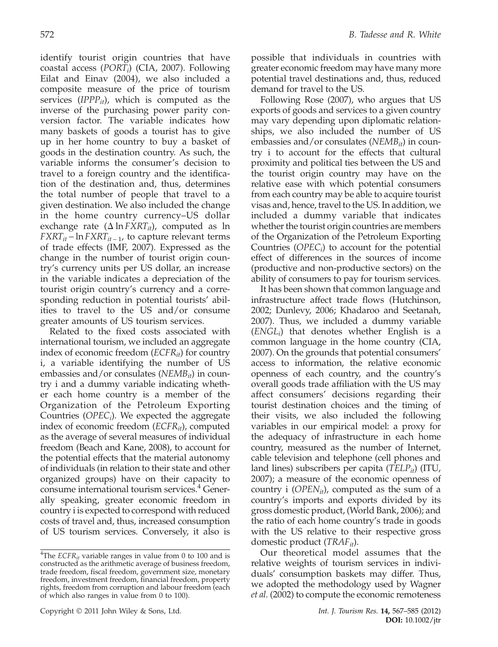identify tourist origin countries that have coastal access ( $PORT<sub>i</sub>$ ) (CIA, 2007). Following Eilat and Einav (2004), we also included a composite measure of the price of tourism services  $(IPPP_{it})$ , which is computed as the inverse of the purchasing power parity conversion factor. The variable indicates how many baskets of goods a tourist has to give up in her home country to buy a basket of goods in the destination country. As such, the variable informs the consumer's decision to travel to a foreign country and the identification of the destination and, thus, determines the total number of people that travel to a given destination. We also included the change in the home country currency–US dollar exchange rate  $(\Delta \ln F XRT_{it})$ , computed as ln  $FXRT_{it}$  – ln  $FXRT_{it-1}$ , to capture relevant terms of trade effects (IMF, 2007). Expressed as the change in the number of tourist origin country's currency units per US dollar, an increase in the variable indicates a depreciation of the tourist origin country's currency and a corresponding reduction in potential tourists' abilities to travel to the US and/or consume greater amounts of US tourism services.

Related to the fixed costs associated with international tourism, we included an aggregate index of economic freedom  $(ECFR_{it})$  for country i, a variable identifying the number of US embassies and/or consulates ( $NEMB_{it}$ ) in country i and a dummy variable indicating whether each home country is a member of the Organization of the Petroleum Exporting Countries ( $OPEC<sub>i</sub>$ ). We expected the aggregate index of economic freedom  $(ECFR_{it})$ , computed as the average of several measures of individual freedom (Beach and Kane, 2008), to account for the potential effects that the material autonomy of individuals (in relation to their state and other organized groups) have on their capacity to consume international tourism services.<sup>4</sup> Generally speaking, greater economic freedom in country i is expected to correspond with reduced costs of travel and, thus, increased consumption of US tourism services. Conversely, it also is

possible that individuals in countries with greater economic freedom may have many more potential travel destinations and, thus, reduced demand for travel to the US.

Following Rose (2007), who argues that US exports of goods and services to a given country may vary depending upon diplomatic relationships, we also included the number of US embassies and/or consulates ( $NEMB_{it}$ ) in country i to account for the effects that cultural proximity and political ties between the US and the tourist origin country may have on the relative ease with which potential consumers from each country may be able to acquire tourist visas and, hence, travel to the US. In addition, we included a dummy variable that indicates whether the tourist origin countries are members of the Organization of the Petroleum Exporting Countries  $(OPEC<sub>i</sub>)$  to account for the potential effect of differences in the sources of income (productive and non‐productive sectors) on the ability of consumers to pay for tourism services.

It has been shown that common language and infrastructure affect trade flows (Hutchinson, 2002; Dunlevy, 2006; Khadaroo and Seetanah, 2007). Thus, we included a dummy variable  $(ENGL<sub>i</sub>)$  that denotes whether English is a common language in the home country (CIA, 2007). On the grounds that potential consumers' access to information, the relative economic openness of each country, and the country's overall goods trade affiliation with the US may affect consumers' decisions regarding their tourist destination choices and the timing of their visits, we also included the following variables in our empirical model: a proxy for the adequacy of infrastructure in each home country, measured as the number of Internet, cable television and telephone (cell phones and land lines) subscribers per capita (TELP<sub>it</sub>) (ITU, 2007); a measure of the economic openness of country i  $(OPEN_{it})$ , computed as the sum of a country's imports and exports divided by its gross domestic product, (World Bank, 2006); and the ratio of each home country's trade in goods with the US relative to their respective gross domestic product  $(TRAF_{it})$ .

Our theoretical model assumes that the relative weights of tourism services in individuals' consumption baskets may differ. Thus, we adopted the methodology used by Wagner et al. (2002) to compute the economic remoteness

<sup>&</sup>lt;sup>4</sup>The *ECFR<sub>it</sub>* variable ranges in value from 0 to 100 and is constructed as the arithmetic average of business freedom, trade freedom, fiscal freedom, government size, monetary freedom, investment freedom, financial freedom, property rights, freedom from corruption and labour freedom (each of which also ranges in value from 0 to 100).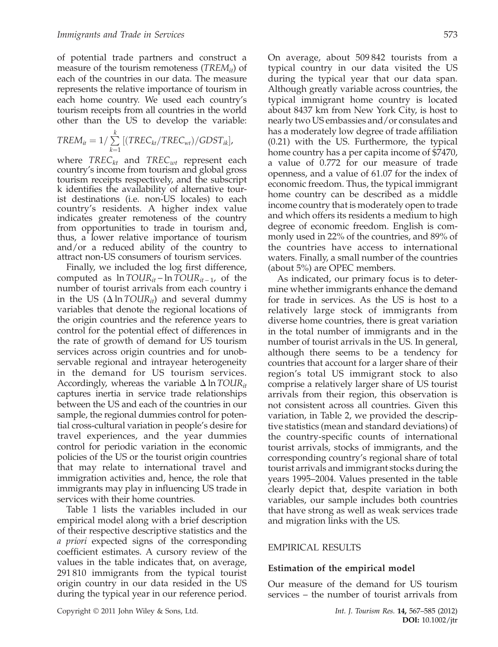of potential trade partners and construct a measure of the tourism remoteness ( $TREM_{it}$ ) of each of the countries in our data. The measure represents the relative importance of tourism in each home country. We used each country's tourism receipts from all countries in the world other than the US to develop the variable:

$$
TREM_{it} = 1/\sum_{k=1}^{k} [(TREC_{kt}/TREC_{wt})/GDST_{ik}],
$$

where  $TREC_{kt}$  and  $TREC_{wt}$  represent each country's income from tourism and global gross tourism receipts respectively, and the subscript k identifies the availability of alternative tourist destinations (i.e. non‐US locales) to each country's residents. A higher index value indicates greater remoteness of the country from opportunities to trade in tourism and, thus, a lower relative importance of tourism and/or a reduced ability of the country to attract non‐US consumers of tourism services.

Finally, we included the log first difference, computed as  $\ln TOUR_{it} - \ln TOUR_{it-1}$ , of the number of tourist arrivals from each country i in the US ( $\Delta$  ln TOUR<sub>it</sub>) and several dummy variables that denote the regional locations of the origin countries and the reference years to control for the potential effect of differences in the rate of growth of demand for US tourism services across origin countries and for unobservable regional and intrayear heterogeneity in the demand for US tourism services. Accordingly, whereas the variable  $\Delta$  ln TOUR<sub>it</sub> captures inertia in service trade relationships between the US and each of the countries in our sample, the regional dummies control for potential cross‐cultural variation in people's desire for travel experiences, and the year dummies control for periodic variation in the economic policies of the US or the tourist origin countries that may relate to international travel and immigration activities and, hence, the role that immigrants may play in influencing US trade in services with their home countries.

Table 1 lists the variables included in our empirical model along with a brief description of their respective descriptive statistics and the a *priori* expected signs of the corresponding coefficient estimates. A cursory review of the values in the table indicates that, on average, 291 810 immigrants from the typical tourist origin country in our data resided in the US during the typical year in our reference period. On average, about 509 842 tourists from a typical country in our data visited the US during the typical year that our data span. Although greatly variable across countries, the typical immigrant home country is located about 8437 km from New York City, is host to nearly two US embassies and/or consulates and has a moderately low degree of trade affiliation (0.21) with the US. Furthermore, the typical home country has a per capita income of \$7470, a value of 0.772 for our measure of trade openness, and a value of 61.07 for the index of economic freedom. Thus, the typical immigrant home country can be described as a middle income country that is moderately open to trade and which offers its residents a medium to high degree of economic freedom. English is commonly used in 22% of the countries, and 89% of the countries have access to international waters. Finally, a small number of the countries (about 5%) are OPEC members.

As indicated, our primary focus is to determine whether immigrants enhance the demand for trade in services. As the US is host to a relatively large stock of immigrants from diverse home countries, there is great variation in the total number of immigrants and in the number of tourist arrivals in the US. In general, although there seems to be a tendency for countries that account for a larger share of their region's total US immigrant stock to also comprise a relatively larger share of US tourist arrivals from their region, this observation is not consistent across all countries. Given this variation, in Table 2, we provided the descriptive statistics (mean and standard deviations) of the country‐specific counts of international tourist arrivals, stocks of immigrants, and the corresponding country's regional share of total tourist arrivals and immigrant stocks during the years 1995–2004. Values presented in the table clearly depict that, despite variation in both variables, our sample includes both countries that have strong as well as weak services trade and migration links with the US.

#### EMPIRICAL RESULTS

#### Estimation of the empirical model

Our measure of the demand for US tourism services – the number of tourist arrivals from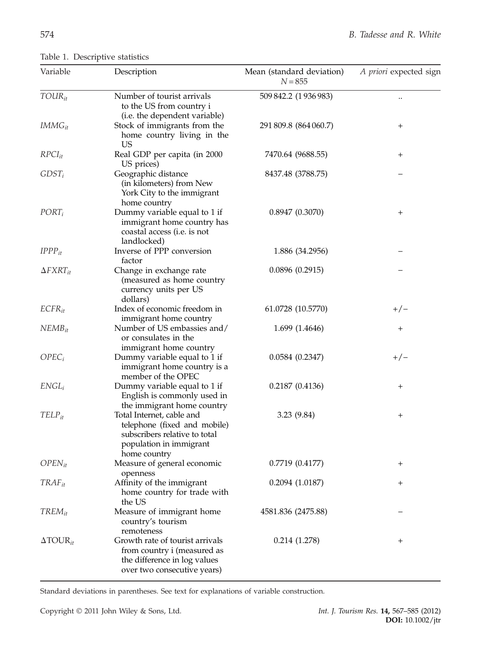Table 1. Descriptive statistics

| Variable                  | Description                                                                                                                           | Mean (standard deviation)<br>$N = 855$ | A priori expected sign |
|---------------------------|---------------------------------------------------------------------------------------------------------------------------------------|----------------------------------------|------------------------|
| $TOUR_{it}$               | Number of tourist arrivals<br>to the US from country i<br>(i.e. the dependent variable)                                               | 509 842.2 (1936 983)                   | $\ddot{\phantom{0}}$   |
| $IMMG_{it}$               | Stock of immigrants from the<br>home country living in the<br>US                                                                      | 291 809.8 (864 060.7)                  | $\hbox{+}$             |
| $RPCI_{it}$               | Real GDP per capita (in 2000<br>US prices)                                                                                            | 7470.64 (9688.55)                      | $^+$                   |
| $GDST_i$                  | Geographic distance<br>(in kilometers) from New<br>York City to the immigrant<br>home country                                         | 8437.48 (3788.75)                      |                        |
| $PORT_i$                  | Dummy variable equal to 1 if<br>immigrant home country has<br>coastal access (i.e. is not<br>landlocked)                              | 0.8947(0.3070)                         | $^{+}$                 |
| $IPP_{it}$                | Inverse of PPP conversion<br>factor                                                                                                   | 1.886 (34.2956)                        |                        |
| $\Delta FXRT_{it}$        | Change in exchange rate<br>(measured as home country<br>currency units per US<br>dollars)                                             | 0.0896(0.2915)                         |                        |
| $ECFR_{it}$               | Index of economic freedom in<br>immigrant home country                                                                                | 61.0728 (10.5770)                      | $+/-$                  |
| $NEMB_{it}$               | Number of US embassies and/<br>or consulates in the<br>immigrant home country                                                         | 1.699 (1.4646)                         | $\hbox{+}$             |
| $OPEC_i$                  | Dummy variable equal to 1 if<br>immigrant home country is a<br>member of the OPEC                                                     | 0.0584(0.2347)                         | $+/-$                  |
| $ENGL_i$                  | Dummy variable equal to 1 if<br>English is commonly used in<br>the immigrant home country                                             | 0.2187(0.4136)                         | $^{+}$                 |
| $TELP_{it}$               | Total Internet, cable and<br>telephone (fixed and mobile)<br>subscribers relative to total<br>population in immigrant<br>home country | 3.23(9.84)                             | $^{+}$                 |
| $OPEN_{it}$               | Measure of general economic<br>openness                                                                                               | 0.7719(0.4177)                         | $\hbox{+}$             |
| $TRAF_{it}$               | Affinity of the immigrant<br>home country for trade with<br>the US                                                                    | $0.2094$ $(1.0187)$                    | $\hbox{+}$             |
| $TREM_{it}$               | Measure of immigrant home<br>country's tourism<br>remoteness                                                                          | 4581.836 (2475.88)                     |                        |
| $\Delta \text{TOUR}_{it}$ | Growth rate of tourist arrivals<br>from country i (measured as<br>the difference in log values<br>over two consecutive years)         | 0.214(1.278)                           | $^+$                   |

Standard deviations in parentheses. See text for explanations of variable construction.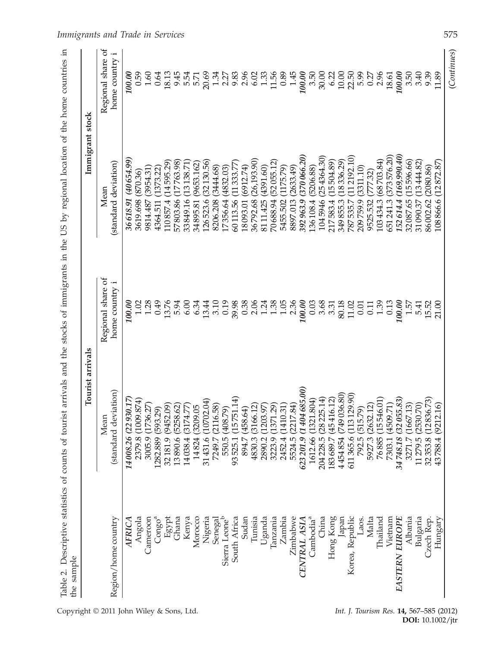|                             | Tourist arrivals             |                                     | Immigrant stock              |                                     |
|-----------------------------|------------------------------|-------------------------------------|------------------------------|-------------------------------------|
| Region/home country         | (standard deviation)<br>Mean | Regional share of<br>home country i | (standard deviation)<br>Mean | Regional share of<br>home country i |
| AFRICA                      | (22930.17<br>14 008.26       | 100.00                              | 36 618.91 (40 654.99         | 100.00                              |
| Angola                      | (1009.874)<br>2379.8         | 1.02                                | 3619.698 (870.36)            | 0.59                                |
| Cameroon                    | 1736.27<br>3005.9            | 1.28                                | 3954.31)<br>9814.487         | 1.60                                |
| $\mathrm{Congo}^\mathrm{a}$ | 593.29)<br>1282.889          | 0.49                                | 1373.22<br>4364.511          | 0.64                                |
| Egypt                       | 9452.09)<br>32181.9          | 3.76                                | 14595.29<br>10857.4          | 18.13                               |
| Ghana                       | 5258.62<br>13890.6           | 5.94                                | 17763.98<br>57803.86         | 9.45                                |
| Kenya                       | 3174.77<br>14038.4           | 6.00                                | 13138.71<br>33849.16         | 5.54                                |
| Morocco                     | 3209.05<br>14824             | 6.34                                | 9653.162<br>34895.81         | 5.71                                |
| Nigeria                     | 10702.04)<br>31431.6         | 13.44                               | 32130.56)<br>126523.6        | 20.69                               |
| Senegal                     | 2116.58)<br>7249.7           | 3.10                                | 3444.68)<br>8206.208         | 1.34                                |
| Sierra Leone <sup>b</sup>   | 408.79)<br>550.5             | 0.19                                | (4832.03)<br>17356.64        | 2.27                                |
| South Africa                | 15751.14)<br>93525.1         | 39.98                               | $11\,333.77$<br>60113.56     | 9.83                                |
| Sudan                       | 458.64)<br>894.7             | 0.38                                | (6912.74)<br>18093.01        | 2.96                                |
| Tunisia                     | 3166.12<br>4830.3            | 2.06                                | 26,193.90<br>36792.68        | 6.02                                |
| Uganda                      | 1203.97<br>2890.2            | 1.24                                | 4391.60)<br>8111.425         | 1.33                                |
| Tanzania                    | 1371.29<br>3223.9            | 1.38                                | 52055.12<br>70688.94         | $\frac{11.56}{0.89}$                |
| Zambia                      | 1410.31<br>2452.4            | 1.05                                | 1175.79)<br>5455.502         |                                     |
| Zimbabwe                    | 2217.84<br>5524.5            | 2.36                                | 2633.49)<br>8897.013         | 1.45                                |
| CENTRAL ASIA                | 1404685.00)<br>623201.9      | 100.00                              | 370066.20)<br>392963.9       | 100.00                              |
| Cambodia <sup>a</sup>       | 1321.804)<br>1612.66         | 0.03                                | 5206.88)<br>136108.4         | 3.50                                |
| China                       | 28 225.14)<br>204228.5       | 3.68                                | 254364.30)<br>1045946        | 30.00                               |
| Hong Kong                   | 45416.12<br>183689.7         | 3.31                                | 15504.89)<br>217583.4        | 6.22                                |
| Japan                       | 749036.80)<br>4454854        | 80.18                               | 18336.29)<br>349855.3        | 10.00                               |
| Korea, Republic             | 113129.90)<br>611365.6       | 11.02                               | 112192.10)<br>787535.7       | 22.50                               |
| Laos.                       | 515.79)<br>792.5             | 0.01                                | 3311.10)<br>209759.9         | 5.99                                |
| Malta                       | 2632.12<br>5927.3            | 0.11                                | (777.32)<br>9525.532         | 0.27                                |
| Thailand                    | 15546.01<br>76885            | 1.39                                | 68703.84)<br>103434.3        | 2.96                                |
| Vietnam                     | 4509.71)<br>7303.1           | 0.13                                | 373576.20)<br>551241.3       | 18.61                               |
| <b>EASTERN EUROPE</b>       | (32055.83)<br>34748.18       | 100.00                              | (169,990.40)<br>152614.4     | 100.00                              |
| Albania                     | 1667.13)<br>3271.7           | 1.57                                | 15596.66<br>32087.65         | 3.50                                |
| Bulgaria                    | 2530.70<br>11279.5           | 5.41                                | 13444.82)<br>31090.37        | 3.40                                |
| Czech Rep.                  | 12836.73)<br>32353.8         | 15.52                               | 2080.86)<br>86002.62         | 9.39                                |
| Hungary                     | (9212.16)<br>43788.4         | 21.00                               | (12872.87)<br>108866.6       | 11.89                               |
|                             |                              |                                     |                              | (Continues)                         |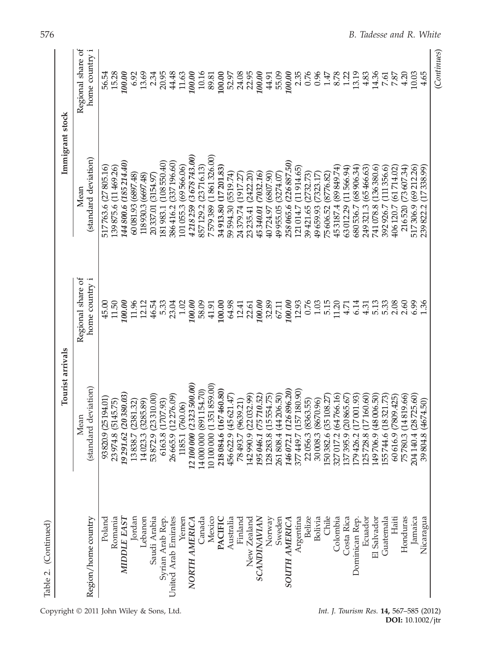|                      | Tourist arrivals                        |                                     | Immigrant stock              |                                     |
|----------------------|-----------------------------------------|-------------------------------------|------------------------------|-------------------------------------|
| Region/home country  | (standard deviation)<br>Mean            | Regional share of<br>home country i | (standard deviation)<br>Mean | Regional share of<br>home country i |
| Poland               | 9 (25 194.01<br>93820.                  | 45.00                               | 517763.6 (27805.16)          | 56.54                               |
| Romania              | (5145.75)<br>œ<br>23974.                | 11.50                               | 139875.6 (11469.26)          | 15.28                               |
| <b>MIDDLE EAST</b>   | (20,380.03)<br>19291.62                 | 100.00                              | 144 800.6 (185 214.40)       | 100.00                              |
| Jordan               | (2381.32)<br>$\triangleright$<br>13838. | 11.96                               | 60 081.93 (6897.48)          | 6.92                                |
| Lebanon              | (3285.89)<br>S<br>14023.                | 12.12                               | 118930.3 (6697.48)           | 13.69                               |
| Saudi Arabia         | 23310.00)<br>Ó<br>53872.                | 46.54                               | (3154.97)<br>20337.01        | 2.34                                |
| Syrian Arab Rep.     | (1707.93)<br>$^{\circ}$<br>6163.        | 5.33                                | (108550.40)<br>181983.1      | 20.95                               |
| United Arab Emirates | 12276.09)<br>Ó<br>26665.                | 23.04                               | (337196.60)<br>386416.2      | 44.48                               |
| Yemen                | 760.06)<br>1185.                        | 1.02                                | (69566.06)<br>101055.3       | 11.63                               |
| NORTH AMERICA        | (2323500.00)<br>1210000                 | 100.00                              | 3678743.00)<br>4218259       | 100.00                              |
| Canada               | 891154.70)<br>$\circ$<br>1400000        | 58.09                               | 23716.13)<br>857129.2        | 10.16                               |
| Mexico               | 1351859.00)<br>⊂<br>1010000             | 41.91                               | 1861326.00)<br>7579389       | 89.81                               |
| PACIFIC              | (167460.80)<br>ی<br>218084.             | 100.00                              | (17201.83)<br>34913.80       | 100.00                              |
| Australia            | (45621.47)<br>Ó<br>456622.              | 64.98                               | 5519.74<br>59594.30          | 52.97                               |
| Finland              | (9639.21)<br>78493.                     | 12.41                               | (1917.27<br>24379.74         | 24.08                               |
| New Zealand          | 22032.99)<br>σ<br>142990.               | 22.61                               | 2422.20<br>23235.41          | 22.95                               |
| <b>SCANDINAVIAN</b>  | (75710.52)<br>195046.                   | 100.00                              | (7032.16)<br>45340.01        | 100.00                              |
| Norway               | 15554.75<br>8<br>128283.                | 32.89                               | 6807.90)<br>40724.97         | 44.91                               |
| Sweden               | 44 206.50)<br>261808.                   | $67.11$                             | 3274.07<br>49955.05          | 55.09                               |
| <b>SOUTH AMERICA</b> | 126896.20)<br>146072.                   | 100.00                              | (226887.50)<br>258065.6      | 100.00                              |
| Argentina            | 157180.90<br>377449.                    | 12.93                               | 11914.65)<br>121014.7        | 2.35                                |
| Belize               | (8363.55)<br>22056.                     | 0.76                                | 2732.73<br>39421.65          | 0.76                                |
| Bolivia              | 8670.96)<br>30008                       | 1.03                                | 7323.17<br>49659.93          | 0.96                                |
| Chile                | 35108.27<br>٥<br>150382.                | 5.15                                | 8776.82)<br>75606.52         | $\frac{1.47}{8.78}$                 |
| Colombia             | 64766.16<br>$\mathsf{C}$<br>327017.     | 11.20                               | (89849.74)<br>453187.4       |                                     |
| Costa Rica           | 20865.67<br>G<br>137395.                | 4.71                                | 11566.94<br>63012.29         | 1.22                                |
| Dominican Rep.       | 17001.93<br>179426.                     | 6.14                                | 68906.34<br>680536.7         | 13.19                               |
| Ecuador              | 17160.60<br>∞<br>125728.                | 4.31                                | (65466.63)<br>249321.3       | 4.83                                |
| El Salvador          | (48006.50)<br>σ<br>149706.              | 5.13                                | 136380.6<br>741078.8         | 14.36                               |
| Guatemala            | (18321.73)<br>6<br>155744               | 5.33                                | 111356.6<br>392926.7         | 7.61                                |
| Haiti                | 7809.425<br>Ó<br>60616                  | 2.08                                | (61714.02)<br>406120.7       | 7.87                                |
| Honduras             | 14819.66)<br>3<br>75780.                | 2.60                                | 73607.34<br>216520           | 4.20                                |
| Jamaica              | (28725.60)<br>4<br>204140.              | 6.99                                | (69212.26)<br>517306.9       | 10.03                               |
| Nicaragua            | (4674.50)<br>œ<br>39804                 | 1.36                                | (17338.99)<br>239822.2       | 4.65                                |
|                      |                                         |                                     |                              | (Continues)                         |

Copyright © 2011 John Wiley & Sons, Ltd. Int. J. Tourism Res. 14, 567-585 (2012)

Table 2. (Continued)

Table 2. (Continued)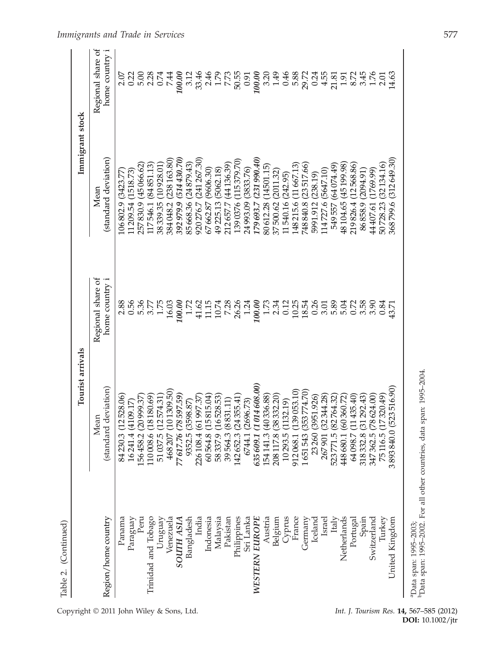|                     | Tourist arrivals                         |                   | Immigrant stock         |                   |
|---------------------|------------------------------------------|-------------------|-------------------------|-------------------|
|                     | Mean                                     | Regional share of | Mean                    | Regional share of |
| Region/home country | lard deviation)<br>(stand                | home country i    | (standard deviation)    | home country i    |
| Panama              | (12528.06)<br>$\tilde{\omega}$<br>84230. | 2.88              | 3423.77<br>106802.9     | 2.07              |
| Paraguay            | (4109.17)<br>4<br>16241.                 | 0.56              | (1518.73)<br>1209.54    | 0.22              |
| Peru                | (20999.37<br>$\mathbf{\sim}$<br>156458   | 5.36              | (45066.62)<br>257830.9  | 5.00              |
| Trinidad and Tobago | 18180.69<br>ç<br>110008                  | 3.77              | 84851.13<br>17546.1     | 2.28              |
| Uruguay             | 12574.31<br>51037                        | 1.75              | 10928.01<br>38339.35    | 0.74              |
| Venezuela           | 101309.50)<br>46820                      | 16.03             | 238163.80<br>384048.2   | 7.44              |
| <b>SOUTH ASIA</b>   | 78597.59<br>77617.7                      | 100.00            | 514430.70)<br>392979.9  | 100.00            |
| Bangladesh          | (3598.87)<br>9352.                       | 1.72              | (24879.43)<br>85668.36  | 3.12              |
| India               | (61997.37<br>226108                      | 41.62             | (241267.30)<br>920276.7 | 33.46             |
| Indonesia           | 15815.04<br>60564                        | 11.15             | (9606.30)<br>67662.87   | 2.46              |
| Malaysia            | 16528.53<br>σ<br>58337.                  | 10.74             | 5062.18<br>49 225.13    | 1.79              |
| Pakistan            | (8831.11)<br>39564.                      | 7.28              | (44136.39)<br>212657.7  | 7.73              |
| Philippines         | (24355.41)<br>Ċ,<br>142652               | 26.26             | 115379.70<br>1390376    | 50.55             |
| Sri Lanka           | (2696.73)<br>6744.                       | 1.24              | (3833.76)<br>24993.09   | 0.91              |
| WESTERN EUROPE      | (1014608.00)<br>635609.                  | 100.00            | (231990.40)<br>179693.7 | 100.00            |
| Austria             | (40336.88)<br>154141                     | 1.73              | (14501.15)<br>80612.28  | 3.20              |
| Belgium             | (38332.20)<br>œ<br>208117                | 2.34              | 2011.32<br>37500.62     | 1.49              |
| Cyprus              | (1132.19)<br>10293                       | 0.12              | (242.95)<br>11540.16    | 0.46              |
| France              | 139 053.10)<br>912068                    | 10.25             | 11667.13<br>148215.6    | 5.88              |
| Germany             | 353774.70<br>165154                      | 18.54             | 23517.66)<br>48840.8    | 29.72             |
| Iceland             | 3951.926)<br>23260                       | 0.26              | 238.19<br>5991.912      | 0.24              |
| Israel              | 32344.28<br>26790                        | 3.01              | 5647.10)<br>14727.6     | 4.55              |
| Italy               | 82764.32<br>523771.                      | 5.89              | 64.074.49<br>549557     | 21.81             |
| Netherlands         | (60360.72)<br>448680                     | 5.04              | (45199.98)<br>48104.65  | 1.91              |
| Portugal            | (11435.40)<br>64098                      | 0.72              | (12568.86)<br>219826.4  | 8.72              |
| Spain               | (31292.43<br>œ<br>318332                 | 3.58              | 2094.91<br>86858.9      | 3.45              |
| Switzerland         | (78624.00<br>ŗĊ<br>347362                | 3.90              | 1769.99<br>44407.61     | 1.76              |
| Turkey              | (17320.49)<br>ΓÚ.<br>75116               | 0.84              | (32134.16)<br>50728.23  | 2.01              |
| United Kingdom      | 3893840.0 (523516.90)                    | 43.71             | (312649.30)<br>368799.6 | 14.63             |
|                     |                                          |                   |                         |                   |

Table 2. (Continued) Table 2. (Continued)

<sup>a</sup>Data span: 1995–2003;<br><sup>b</sup>Data span: 1995–2002. For all other countries, data span: 1995–2004.

 $^{\rm a}$ Data span: 1995–2003;<br> bata span: 1995–2002. For all other countries, data span: 1995–2004.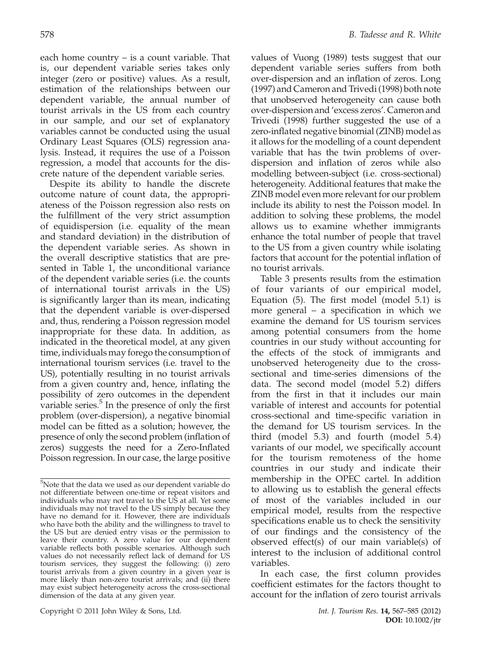each home country – is a count variable. That is, our dependent variable series takes only integer (zero or positive) values. As a result, estimation of the relationships between our dependent variable, the annual number of tourist arrivals in the US from each country in our sample, and our set of explanatory variables cannot be conducted using the usual Ordinary Least Squares (OLS) regression analysis. Instead, it requires the use of a Poisson regression, a model that accounts for the discrete nature of the dependent variable series.

Despite its ability to handle the discrete outcome nature of count data, the appropriateness of the Poisson regression also rests on the fulfillment of the very strict assumption of equidispersion (i.e. equality of the mean and standard deviation) in the distribution of the dependent variable series. As shown in the overall descriptive statistics that are presented in Table 1, the unconditional variance of the dependent variable series (i.e. the counts of international tourist arrivals in the US) is significantly larger than its mean, indicating that the dependent variable is over‐dispersed and, thus, rendering a Poisson regression model inappropriate for these data. In addition, as indicated in the theoretical model, at any given time, individuals may forego the consumption of international tourism services (i.e. travel to the US), potentially resulting in no tourist arrivals from a given country and, hence, inflating the possibility of zero outcomes in the dependent variable series. $<sup>5</sup>$  In the presence of only the first</sup> problem (over‐dispersion), a negative binomial model can be fitted as a solution; however, the presence of only the second problem (inflation of zeros) suggests the need for a Zero‐Inflated Poisson regression. In our case, the large positive

values of Vuong (1989) tests suggest that our dependent variable series suffers from both over‐dispersion and an inflation of zeros. Long (1997) and Cameron and Trivedi (1998) both note that unobserved heterogeneity can cause both over‐dispersion and 'excess zeros'. Cameron and Trivedi (1998) further suggested the use of a zero‐inflated negative binomial (ZINB) model as it allows for the modelling of a count dependent variable that has the twin problems of over‐ dispersion and inflation of zeros while also modelling between‐subject (i.e. cross‐sectional) heterogeneity. Additional features that make the ZINB model even more relevant for our problem include its ability to nest the Poisson model. In addition to solving these problems, the model allows us to examine whether immigrants enhance the total number of people that travel to the US from a given country while isolating factors that account for the potential inflation of no tourist arrivals.

Table 3 presents results from the estimation of four variants of our empirical model, Equation (5). The first model (model 5.1) is more general – a specification in which we examine the demand for US tourism services among potential consumers from the home countries in our study without accounting for the effects of the stock of immigrants and unobserved heterogeneity due to the cross‐ sectional and time-series dimensions of the data. The second model (model 5.2) differs from the first in that it includes our main variable of interest and accounts for potential cross‐sectional and time‐specific variation in the demand for US tourism services. In the third (model 5.3) and fourth (model 5.4) variants of our model, we specifically account for the tourism remoteness of the home countries in our study and indicate their membership in the OPEC cartel. In addition to allowing us to establish the general effects of most of the variables included in our empirical model, results from the respective specifications enable us to check the sensitivity of our findings and the consistency of the observed effect(s) of our main variable(s) of interest to the inclusion of additional control variables.

In each case, the first column provides coefficient estimates for the factors thought to account for the inflation of zero tourist arrivals

 $5$ Note that the data we used as our dependent variable do not differentiate between one‐time or repeat visitors and individuals who may not travel to the US at all. Yet some individuals may not travel to the US simply because they have no demand for it. However, there are individuals who have both the ability and the willingness to travel to the US but are denied entry visas or the permission to leave their country. A zero value for our dependent variable reflects both possible scenarios. Although such values do not necessarily reflect lack of demand for US tourism services, they suggest the following: (i) zero tourist arrivals from a given country in a given year is more likely than non‐zero tourist arrivals; and (ii) there may exist subject heterogeneity across the cross‐sectional dimension of the data at any given year.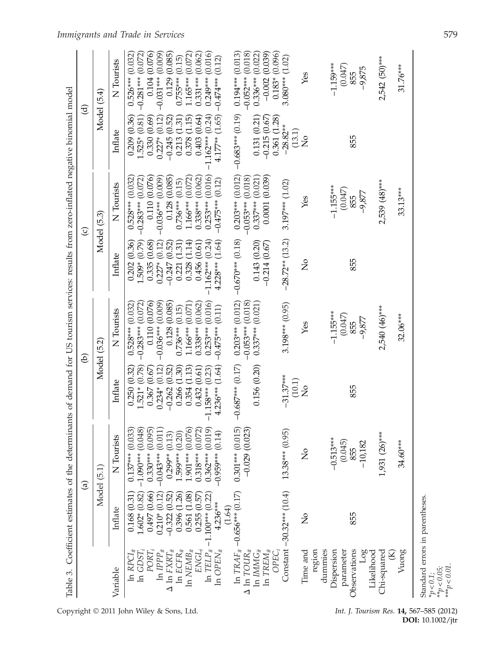| Table 3.                                   |                                          |                           |                       |                        |                                | Coefficient estimates of the determinants of demand for US tourism services: results from zero-inflated negative binomial model |                               |                                              |
|--------------------------------------------|------------------------------------------|---------------------------|-----------------------|------------------------|--------------------------------|---------------------------------------------------------------------------------------------------------------------------------|-------------------------------|----------------------------------------------|
|                                            |                                          | $\widehat{a}$             |                       | Э,                     |                                | $\odot$                                                                                                                         |                               | ਰੁ                                           |
|                                            |                                          | Model (5.1)               |                       | Model (5.2)            |                                | Model (5.3)                                                                                                                     |                               | Model (5.4)                                  |
| Variable                                   | Inflate                                  | N Tourists                | $In$ flate            | N Tourists             | Inflate                        | N Tourists                                                                                                                      | $In \, \, \mathrm{date}$      | N Tourists                                   |
| $\ln \, RPCI_{it}$                         | 0.168(0.31)                              | 033<br>$0.137***$ (0.     | 0.250(0.32)           | $0.528***$ (0.032      | (0.36)<br>0.202                | $0.528***$ (0.032)                                                                                                              | 0.209(0.36)                   | $0.526***$ $(0.032)$                         |
| In $GDST_i$                                | $1.602*(0.82)$                           | $-1.090***00.048$         | $1.521*(0.78)$        | $-0.283***$ (0.072)    | (0.79)<br>$1.509*$             | $-0.283***$ (0.072)                                                                                                             | $1.525*(0.81)$                | $-0.281***$ (0.072)                          |
| $PORT_i$                                   | 0.497 (0.66)                             | $0.330***$ (0.095)        | (0.67)<br>0.367       | 0.110 (0.076)          | (0.68)<br>0.335                | 0.110 (0.076)                                                                                                                   | 0.330(0.69)                   | (0.076)<br>0.104                             |
| In $IPPP_{it}$                             | $0.210*(0.12)$                           | $-0.043***$ (0.011)       | (0.12)<br>$0.234*$    | (0.009)<br>$-0.036***$ | (0.12)<br>$0.227*$             | (0.009)<br>$-0.036***$                                                                                                          | $0.227*(0.12)$                | (0.009)<br>$-0.031***$                       |
| $\Delta$<br>In $\text{EXRT}_{it}$          | $-0.322(0.52)$                           | 13)<br>$0.299**$ (0.      | (0.52)<br>$-0.262$    | 0.128 (0.085)          | (0.52)<br>$-0.247$             | 0.128 (0.085)                                                                                                                   | (0.52)<br>$-0.245$            | (0.085)<br>0.129                             |
| In $ECFR_{it}$                             | 0.396 (1.26)                             | 1.599*** (0.20)           | (1.30)<br>0.266       | $0.736***$ (0.15)      | (1.31)<br>0.221                | $0.736***$ (0.15)                                                                                                               | (1.31)<br>0.213               | (0.15)<br>$0.755***$                         |
| In $NEMB_{it}$                             | 0.561 (1.08)                             | 076)<br>$1.901***$ (0.1   | (1.13)<br>0.354       | (0.071)<br>1.166***    | (1.14)<br>0.328                | $1.166***$ (0.072)                                                                                                              | (1.15)<br>0.378               | (0.072)<br>1.165***                          |
| $ENGL_i$                                   | 0.255(0.57)                              | 072)<br>$0.318***$ (0.    | (0.61)<br>0.432       | (0.062)<br>$0.338***$  | (0.61)<br>0.456(               | (0.062)<br>$0.338***$                                                                                                           | (0.64)<br>0.403               | (0.062)<br>$0.331***$                        |
| In $TELP_{it}$                             | $-1.100***$ (0.22)                       | (019)<br>$0.362***$ (0.1) | (0.23)<br>$-1.158***$ | (0.016)<br>$0.253***$  | $-1.162***$ (0.24)             | (0.016)<br>$0.253***$                                                                                                           | $-1.162***$ (0.24)            | (0.016)<br>$0.249***$                        |
| In $OPEN_{it}$                             | $4.236***$                               | 14)<br>$-0.959***$ (0.    | (1.64)<br>$4.236***$  | (0.11)<br>$-0.475***$  | (1.64)<br>$4.228***$           | $-0.475***$ (0.12)                                                                                                              | (1.65)<br>$4.177**$           | (0.12)<br>$-0.474***$                        |
|                                            | (1.64)                                   |                           |                       |                        |                                |                                                                                                                                 |                               |                                              |
|                                            | In TRAF <sub>it</sub> $-0.656***$ (0.17) | (15)<br>$0.301***$ (0.    | $-0.687***$ (0.17)    | $0.203***$ (0.012)     | $-0.670***$ (0.18)             | $0.203***$ (0.012)                                                                                                              | $-0.683***(0.19)$             | $-0.052***$ (0.018)<br>$0.194***$ $(0.013)$  |
| $\Delta$<br>In TOUR $_{it}$                |                                          | (523)<br>$-0.029$ (0.0    |                       | $-0.053***$ (0.018)    |                                | $-0.053***$ (0.018)                                                                                                             |                               |                                              |
| In $\mathit{IMMG}_{it}$<br>In TRE $M_{it}$ |                                          |                           | 0.156(0.20)           | $0.337***$ (0.021)     | 0.143 (0.20)<br>$-0.214(0.67)$ | (0.039)<br>$0.337***$ (0.021)<br>0.0001                                                                                         | 0.131(0.21)<br>$-0.215(0.67)$ | (0.039)<br>(0.022)<br>$0.336***$<br>$-0.002$ |
| OPEC.                                      |                                          |                           |                       |                        |                                |                                                                                                                                 | 0.361 (1.28)                  | $0.183*$ $(0.096)$                           |
|                                            | Constant -30.32*** (10.4)                | $13.38***$ (0.95)         | $-31.37***$<br>(10.1) | $3.198***$ (0.95)      | $-28.72**$ (13.2)              | 3.197*** $(1.02)$                                                                                                               | $-28.82**$<br>(13.1)          | $3.080***$ $(1.02)$                          |
|                                            |                                          |                           |                       |                        |                                |                                                                                                                                 |                               |                                              |
| Time and                                   | $\mathsf{S}$                             | Ş                         | $\frac{1}{2}$         | Yes                    | $\frac{1}{2}$                  | Yes                                                                                                                             | $\frac{1}{2}$                 | Yes                                          |
| dummies<br>region                          |                                          |                           |                       |                        |                                |                                                                                                                                 |                               |                                              |
| Dispersion                                 |                                          | $-0.513***$               |                       | $-1.155***$            |                                | $-1.155***$                                                                                                                     |                               | $-1.159***$                                  |
| parameter                                  |                                          | (0.045)                   |                       | (0.047)                |                                | (0.047)                                                                                                                         |                               | (0.047)                                      |
| Observations                               | 855                                      | 855                       | 855                   | 855                    | 855                            | 855                                                                                                                             | 855                           | 855                                          |
| log<br>Likelihood                          |                                          | $-10,182$                 |                       | $-9,877$               |                                | $-9,877$                                                                                                                        |                               | $-9,875$                                     |
|                                            |                                          |                           |                       | 2,540 (46)***          |                                | $2,539$ (48)***                                                                                                                 |                               | $2,542$ (50)***                              |
| Chi-squared<br>$\otimes$                   |                                          | $1,931(26)***$            |                       |                        |                                |                                                                                                                                 |                               |                                              |
| Vuong                                      |                                          | 34.60***                  |                       | 32.06***               |                                | 33.13***                                                                                                                        |                               | 31.76***                                     |
| Standard errors in parentheses.            |                                          |                           |                       |                        |                                |                                                                                                                                 |                               |                                              |

Immigrants and Trade in Services 579

Copyright  $© 2011$  John Wiley & Sons, Ltd.

 $*^{p} < 0.1;$ <br>  $*^{p} < 0.05;$ <br>  $*^{p} < 0.01.$ 

Int. J. Tourism Res. **14,** 567–585 (2012)<br>**DOI:** 10.1002/jtr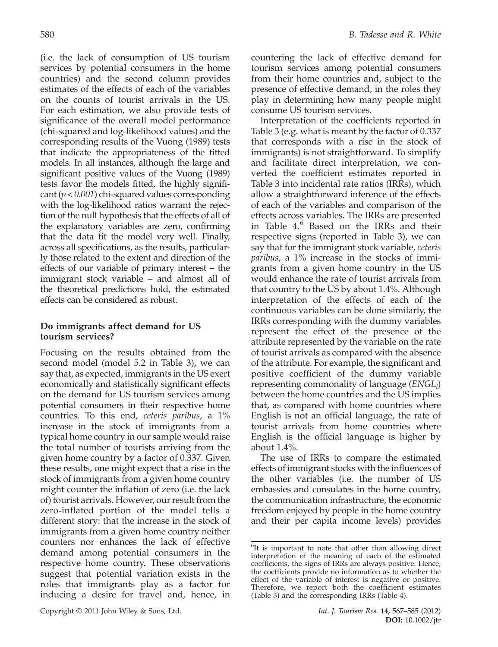(i.e. the lack of consumption of US tourism services by potential consumers in the home countries) and the second column provides estimates of the effects of each of the variables on the counts of tourist arrivals in the US. For each estimation, we also provide tests of significance of the overall model performance (chi‐squared and log‐likelihood values) and the corresponding results of the Vuong (1989) tests that indicate the appropriateness of the fitted models. In all instances, although the large and significant positive values of the Vuong (1989) tests favor the models fitted, the highly significant ( $p < 0.001$ ) chi-squared values corresponding with the log-likelihood ratios warrant the rejection of the null hypothesis that the effects of all of the explanatory variables are zero, confirming that the data fit the model very well. Finally, across all specifications, as the results, particularly those related to the extent and direction of the effects of our variable of primary interest – the immigrant stock variable – and almost all of the theoretical predictions hold, the estimated effects can be considered as robust.

#### Do immigrants affect demand for US tourism services?

Focusing on the results obtained from the second model (model 5.2 in Table 3), we can say that, as expected, immigrants in the US exert economically and statistically significant effects on the demand for US tourism services among potential consumers in their respective home countries. To this end, ceteris paribus, a 1% increase in the stock of immigrants from a typical home country in our sample would raise the total number of tourists arriving from the given home country by a factor of 0.337. Given these results, one might expect that a rise in the stock of immigrants from a given home country might counter the inflation of zero (i.e. the lack of) tourist arrivals. However, our result from the zero‐inflated portion of the model tells a different story: that the increase in the stock of immigrants from a given home country neither counters nor enhances the lack of effective demand among potential consumers in the respective home country. These observations suggest that potential variation exists in the roles that immigrants play as a factor for inducing a desire for travel and, hence, in countering the lack of effective demand for tourism services among potential consumers from their home countries and, subject to the presence of effective demand, in the roles they play in determining how many people might consume US tourism services.

Interpretation of the coefficients reported in Table 3 (e.g. what is meant by the factor of 0.337 that corresponds with a rise in the stock of immigrants) is not straightforward. To simplify and facilitate direct interpretation, we converted the coefficient estimates reported in Table 3 into incidental rate ratios (IRRs), which allow a straightforward inference of the effects of each of the variables and comparison of the effects across variables. The IRRs are presented in Table 4.<sup>6</sup> Based on the IRRs and their respective signs (reported in Table 3), we can say that for the immigrant stock variable, ceteris paribus, a 1% increase in the stocks of immigrants from a given home country in the US would enhance the rate of tourist arrivals from that country to the US by about 1.4%. Although interpretation of the effects of each of the continuous variables can be done similarly, the IRRs corresponding with the dummy variables represent the effect of the presence of the attribute represented by the variable on the rate of tourist arrivals as compared with the absence of the attribute. For example, the significant and positive coefficient of the dummy variable representing commonality of language  $(ENGL<sub>i</sub>)$ between the home countries and the US implies that, as compared with home countries where English is not an official language, the rate of tourist arrivals from home countries where English is the official language is higher by about 1.4%.

The use of IRRs to compare the estimated effects of immigrant stocks with the influences of the other variables (i.e. the number of US embassies and consulates in the home country, the communication infrastructure, the economic freedom enjoyed by people in the home country and their per capita income levels) provides

<sup>&</sup>lt;sup>6</sup>It is important to note that other than allowing direct interpretation of the meaning of each of the estimated coefficients, the signs of IRRs are always positive. Hence, the coefficients provide no information as to whether the effect of the variable of interest is negative or positive. Therefore, we report both the coefficient estimates (Table 3) and the corresponding IRRs (Table 4).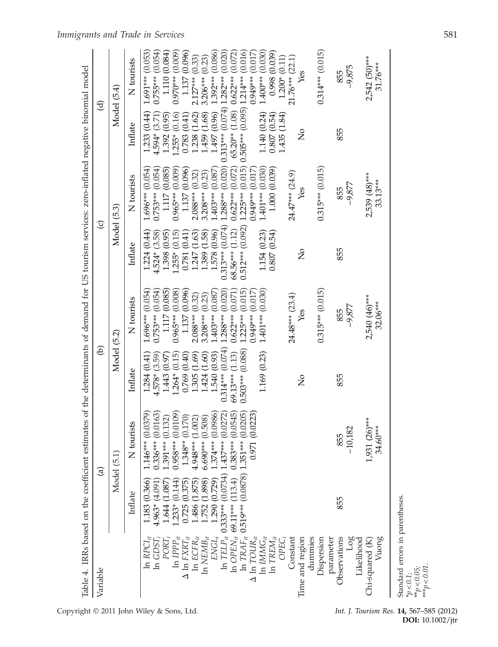|                                                           |                                                | Table 4. IRRs based on the coefficient estimates of the determinants of demand for US tourism services: zero-inflated negative binomial model |                                                  |                                                                       |                                                       |                                                                        |                                                          |                                                                 |
|-----------------------------------------------------------|------------------------------------------------|-----------------------------------------------------------------------------------------------------------------------------------------------|--------------------------------------------------|-----------------------------------------------------------------------|-------------------------------------------------------|------------------------------------------------------------------------|----------------------------------------------------------|-----------------------------------------------------------------|
| Variable                                                  |                                                | $\widehat{\mathbf{e}}$                                                                                                                        | ê                                                |                                                                       | $\odot$                                               |                                                                        |                                                          | $\widehat{\mathbf{c}}$                                          |
|                                                           |                                                | Model (5.1)                                                                                                                                   | Model (5.2)                                      |                                                                       | Model (5.3)                                           |                                                                        |                                                          | Model (5.4)                                                     |
|                                                           | Inflate                                        | N tourists                                                                                                                                    | Inflate                                          | N tourists                                                            | Inflate                                               | N tourists                                                             | Inflate                                                  | N tourists                                                      |
| $\ln RPCl_{it}$<br>$\ln GDST_i$<br>PORT                   | 1.183 (0.366)<br>4.963* (4.091<br>1.644 (1.087 | (0.0163)<br>(0.0379)<br>(0.132)<br>$0.336***$<br>$-391***$<br>1.146***                                                                        | $4.578*$ $(3.59)$<br>1.443 (0.97)<br>1.284 (0.41 | $0.753***$ $(0.054)$<br>(0.085)<br>(0.054)<br>$1.696***$<br>$1.117$ ( | 1.224(0.44)<br>$4.524*$ $(3.58)$<br>(0.95)<br>1.398 ( | (0.054)<br>(0.054)<br>(0.085)<br>$0.753***$<br>$1.117$ (<br>$1.696***$ | (0.95)<br>(0.44)<br>(3.71)<br>$4.594*$<br>1.233<br>1.392 | (0.054)<br>1.110 (0.084)<br>(0.053)<br>$0.755***$<br>$1.691***$ |
| In $IPPP_{it}$<br>$\Delta$ ln $\text{EXRT}_{it}$          | 0.725 (0.375)<br>$1.233*(0.144)$               | (0.0109)<br>(0.170)<br>$0.958***$<br>$1.348**$                                                                                                | $1.264*(0.15)$<br>0.769(0.40)                    | (0.008)<br>(0.096)<br>$0.965***$<br>1.137                             | (0.15)<br>(0.41)<br>0.781(<br>$1.255*$                | (0.009)<br>(0.096)<br>$0.965***$<br>1.137                              | (0.16)<br>(0.41)<br>$1.255*$<br>0.783                    | $0.970***$ (0.009)<br>(0.096)<br>1.137                          |
| In $ECFR_{it}$                                            | (1.875)<br>1.486                               | (1.002)<br>$4.948***$                                                                                                                         | (1.69)<br>1.305 (                                | (0.32)<br>$2.088***$                                                  | (1.63)<br>1.247                                       | (0.32)<br>$2.088***$                                                   | (1.62)<br>1.238                                          | (0.33)<br>$2.127***$                                            |
| $ENGL_i$<br>In $NEMB_{it}$                                | (1.898)<br>1.290 (0.729)<br>1.752              | (0.0986)<br>(0.508)<br>$6.690***$<br>$.374***$                                                                                                | (1.60)<br>1.540 (0.93)<br>1.424                  | (0.087)<br>(0.23)<br>$3.208***$<br>$1.403***$                         | (0.96)<br>(1.58)<br>1.578<br>1.389                    | $1.403***$ (0.087<br>$3.208***$ (0.23)                                 | 1.497 (0.96)<br>(1.68)<br>1.459                          | $1.392***$ (0.086)<br>(0.23)<br>$3.206***$                      |
| In TELP <sub>it</sub> $0.333***$                          | (0.0734)                                       | (0.0272)<br>$1.437***$                                                                                                                        | (0.074)<br>$0.314***$                            | (0.020)<br>$1.288***$                                                 | (0.074)<br>$0.313***$                                 | (0.020)<br>$1.288***$                                                  | (0.074)<br>$0.313***$                                    | (0.020)<br>$1.282***$                                           |
| In OPEN <sub>it</sub> 69.11***<br>In $\mathit{TRAF}_{it}$ | $0.519***$ (0.0878)<br>(113.4)                 | (0.0545)<br>(0.0205)<br>$0.383***$<br>$1.351***$                                                                                              | (0.088)<br>(1.13)<br>69.13***<br>$0.503***$      | (0.015)<br>(0.071)<br>$1.225***$<br>$0.622***$                        | (0.092)<br>(1.12)<br>68.56***<br>$0.512***$           | (0.015)<br>(0.072)<br>$0.622***$<br>$1.225***$                         | (1.08)<br>$65.20***$                                     | $0.505***$ (0.095) $1.214***$ (0.016)<br>(0.072)<br>$0.622***$  |
| $\Delta$ ln TOUR <sub>it</sub>                            |                                                | (0.0223)<br>0.971                                                                                                                             |                                                  | (0.017)<br>$0.949***$                                                 |                                                       | (0.017)<br>$0.949***$                                                  |                                                          | $0.949***$ $(0.017)$                                            |
| In $IMMG_{it}$                                            |                                                |                                                                                                                                               | 1.169 (0.23)                                     | (0.030)<br>$1.401***$                                                 | 1.154 (0.23)                                          | $1.401***$ (0.030)                                                     | 1.140 (0.24)                                             | $1.400***$ (0.030)                                              |
| In TRE $M_{it}$<br>OPEC                                   |                                                |                                                                                                                                               |                                                  |                                                                       | 0.807(0.54)                                           | 1.000 (0.039)                                                          | 1.435 (1.84)<br>0.807(0.54)                              | 0.998 (0.039)<br>$1.200*(0.11)$                                 |
| Constant                                                  |                                                |                                                                                                                                               |                                                  | $24.48***$ (23.4)                                                     |                                                       | 24.47*** (24.9)                                                        |                                                          | $21.76***$ (22.1)                                               |
| Time and region<br>dummies                                |                                                |                                                                                                                                               | $\frac{1}{2}$                                    | Yes                                                                   | $\mathsf{S}^{\mathsf{O}}$                             | Yes                                                                    | $\mathsf{S}^{\mathsf{O}}$                                | Yes                                                             |
| Dispersion                                                |                                                |                                                                                                                                               |                                                  | $0.315***$ (0.015)                                                    |                                                       | $0.315***$ $(0.015)$                                                   |                                                          | $0.314***$ (0.015)                                              |
| parameter                                                 |                                                |                                                                                                                                               |                                                  |                                                                       |                                                       |                                                                        |                                                          |                                                                 |
| Observations<br>log<br>Likelihood                         | 855                                            | $-10,182$<br>5<br>85                                                                                                                          | 855                                              | $-9,877$<br>855                                                       | 855                                                   | $-9,877$<br>855                                                        | 855                                                      | $-9,875$<br>855                                                 |
| Vuong<br>Chi-squared (K)                                  |                                                | $(26)$ ***<br>34.60***<br>1,931                                                                                                               |                                                  | 2,540 (46)***<br>$32.06***$                                           |                                                       | 2,539 (48)***<br>33.13***                                              |                                                          | $2,542(50)***$<br>31.76***                                      |
| Standard errors in parentheses.                           |                                                |                                                                                                                                               |                                                  |                                                                       |                                                       |                                                                        |                                                          |                                                                 |

Immigrants and Trade in Services 581

Copyright © 2011 John Wiley & Sons, Ltd. Int. J. Tourism Res. 14, 567-585 (2012)

 $*^{*}p < 0.1;$ <br>  $*^{*}p < 0.05;$ <br>  $*^{*}p < 0.01.$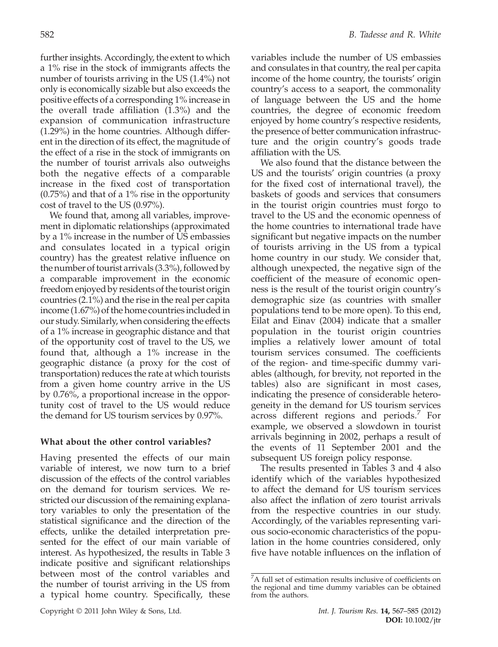further insights. Accordingly, the extent to which a 1% rise in the stock of immigrants affects the number of tourists arriving in the US (1.4%) not only is economically sizable but also exceeds the positive effects of a corresponding 1% increase in the overall trade affiliation (1.3%) and the expansion of communication infrastructure (1.29%) in the home countries. Although different in the direction of its effect, the magnitude of the effect of a rise in the stock of immigrants on the number of tourist arrivals also outweighs both the negative effects of a comparable increase in the fixed cost of transportation (0.75%) and that of a 1% rise in the opportunity cost of travel to the US (0.97%).

We found that, among all variables, improvement in diplomatic relationships (approximated by a 1% increase in the number of US embassies and consulates located in a typical origin country) has the greatest relative influence on the number of tourist arrivals (3.3%), followed by a comparable improvement in the economic freedom enjoyed by residents of the tourist origin countries (2.1%) and the rise in the real per capita income (1.67%) of the home countries included in our study. Similarly, when considering the effects of a 1% increase in geographic distance and that of the opportunity cost of travel to the US, we found that, although a 1% increase in the geographic distance (a proxy for the cost of transportation) reduces the rate at which tourists from a given home country arrive in the US by 0.76%, a proportional increase in the opportunity cost of travel to the US would reduce the demand for US tourism services by 0.97%.

### What about the other control variables?

Having presented the effects of our main variable of interest, we now turn to a brief discussion of the effects of the control variables on the demand for tourism services. We restricted our discussion of the remaining explanatory variables to only the presentation of the statistical significance and the direction of the effects, unlike the detailed interpretation presented for the effect of our main variable of interest. As hypothesized, the results in Table 3 indicate positive and significant relationships between most of the control variables and the number of tourist arriving in the US from a typical home country. Specifically, these

variables include the number of US embassies and consulates in that country, the real per capita income of the home country, the tourists' origin country's access to a seaport, the commonality of language between the US and the home countries, the degree of economic freedom enjoyed by home country's respective residents, the presence of better communication infrastructure and the origin country's goods trade affiliation with the US.

We also found that the distance between the US and the tourists' origin countries (a proxy for the fixed cost of international travel), the baskets of goods and services that consumers in the tourist origin countries must forgo to travel to the US and the economic openness of the home countries to international trade have significant but negative impacts on the number of tourists arriving in the US from a typical home country in our study. We consider that, although unexpected, the negative sign of the coefficient of the measure of economic openness is the result of the tourist origin country's demographic size (as countries with smaller populations tend to be more open). To this end, Eilat and Einav (2004) indicate that a smaller population in the tourist origin countries implies a relatively lower amount of total tourism services consumed. The coefficients of the region‐ and time‐specific dummy variables (although, for brevity, not reported in the tables) also are significant in most cases, indicating the presence of considerable heterogeneity in the demand for US tourism services across different regions and periods.<sup>7</sup> For example, we observed a slowdown in tourist arrivals beginning in 2002, perhaps a result of the events of 11 September 2001 and the subsequent US foreign policy response.

The results presented in Tables 3 and 4 also identify which of the variables hypothesized to affect the demand for US tourism services also affect the inflation of zero tourist arrivals from the respective countries in our study. Accordingly, of the variables representing various socio‐economic characteristics of the population in the home countries considered, only five have notable influences on the inflation of

<sup>&</sup>lt;sup>7</sup>A full set of estimation results inclusive of coefficients on the regional and time dummy variables can be obtained from the authors.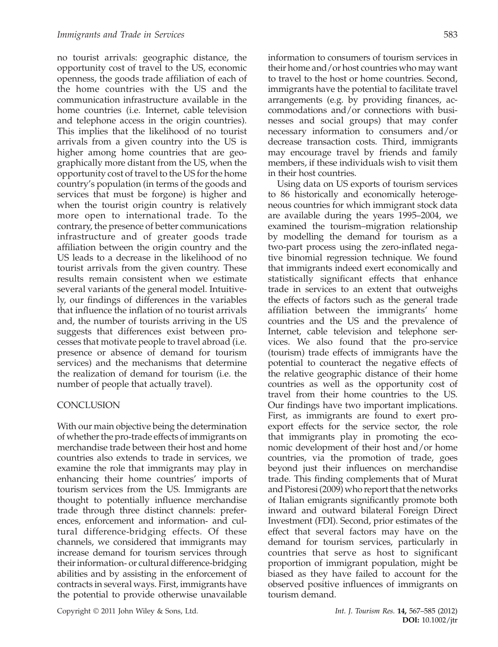no tourist arrivals: geographic distance, the opportunity cost of travel to the US, economic openness, the goods trade affiliation of each of the home countries with the US and the communication infrastructure available in the home countries (i.e. Internet, cable television and telephone access in the origin countries). This implies that the likelihood of no tourist arrivals from a given country into the US is higher among home countries that are geographically more distant from the US, when the opportunity cost of travel to the US for the home country's population (in terms of the goods and services that must be forgone) is higher and when the tourist origin country is relatively more open to international trade. To the contrary, the presence of better communications infrastructure and of greater goods trade affiliation between the origin country and the US leads to a decrease in the likelihood of no tourist arrivals from the given country. These results remain consistent when we estimate several variants of the general model. Intuitively, our findings of differences in the variables that influence the inflation of no tourist arrivals and, the number of tourists arriving in the US suggests that differences exist between processes that motivate people to travel abroad (i.e. presence or absence of demand for tourism services) and the mechanisms that determine the realization of demand for tourism (i.e. the number of people that actually travel).

#### **CONCLUSION**

With our main objective being the determination of whether the pro‐trade effects of immigrants on merchandise trade between their host and home countries also extends to trade in services, we examine the role that immigrants may play in enhancing their home countries' imports of tourism services from the US. Immigrants are thought to potentially influence merchandise trade through three distinct channels: preferences, enforcement and information‐ and cultural difference‐bridging effects. Of these channels, we considered that immigrants may increase demand for tourism services through their information‐ or cultural difference‐bridging abilities and by assisting in the enforcement of contracts in several ways. First, immigrants have the potential to provide otherwise unavailable information to consumers of tourism services in their home and/or host countries who may want to travel to the host or home countries. Second, immigrants have the potential to facilitate travel arrangements (e.g. by providing finances, accommodations and/or connections with businesses and social groups) that may confer necessary information to consumers and/or decrease transaction costs. Third, immigrants may encourage travel by friends and family members, if these individuals wish to visit them in their host countries.

Using data on US exports of tourism services to 86 historically and economically heterogeneous countries for which immigrant stock data are available during the years 1995–2004, we examined the tourism–migration relationship by modelling the demand for tourism as a two‐part process using the zero‐inflated negative binomial regression technique. We found that immigrants indeed exert economically and statistically significant effects that enhance trade in services to an extent that outweighs the effects of factors such as the general trade affiliation between the immigrants' home countries and the US and the prevalence of Internet, cable television and telephone services. We also found that the pro‐service (tourism) trade effects of immigrants have the potential to counteract the negative effects of the relative geographic distance of their home countries as well as the opportunity cost of travel from their home countries to the US. Our findings have two important implications. First, as immigrants are found to exert proexport effects for the service sector, the role that immigrants play in promoting the economic development of their host and/or home countries, via the promotion of trade, goes beyond just their influences on merchandise trade. This finding complements that of Murat and Pistoresi (2009) who report that the networks of Italian emigrants significantly promote both inward and outward bilateral Foreign Direct Investment (FDI). Second, prior estimates of the effect that several factors may have on the demand for tourism services, particularly in countries that serve as host to significant proportion of immigrant population, might be biased as they have failed to account for the observed positive influences of immigrants on tourism demand.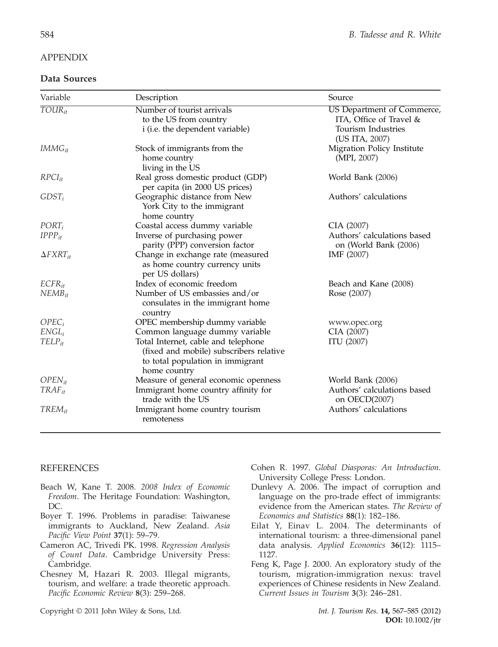#### APPENDIX

#### Data Sources

| Variable           | Description                                                                                                                        | Source                                                                                        |
|--------------------|------------------------------------------------------------------------------------------------------------------------------------|-----------------------------------------------------------------------------------------------|
| $TOUR_{it}$        | Number of tourist arrivals<br>to the US from country<br>i (i.e. the dependent variable)                                            | US Department of Commerce,<br>ITA, Office of Travel &<br>Tourism Industries<br>(US ITA, 2007) |
| $IMMG_{it}$        | Stock of immigrants from the<br>home country<br>living in the US                                                                   | Migration Policy Institute<br>(MPI, 2007)                                                     |
| $RPCI_{it}$        | Real gross domestic product (GDP)<br>per capita (in 2000 US prices)                                                                | World Bank (2006)                                                                             |
| $GDST_i$           | Geographic distance from New<br>York City to the immigrant<br>home country                                                         | Authors' calculations                                                                         |
| $PORT_i$           | Coastal access dummy variable                                                                                                      | CIA (2007)                                                                                    |
| $IPP_{it}$         | Inverse of purchasing power<br>parity (PPP) conversion factor                                                                      | Authors' calculations based<br>on (World Bank (2006)                                          |
| $\Delta FXRT_{it}$ | Change in exchange rate (measured<br>as home country currency units<br>per US dollars)                                             | IMF (2007)                                                                                    |
| $ECFR_{it}$        | Index of economic freedom                                                                                                          | Beach and Kane (2008)                                                                         |
| $NEMB_{it}$        | Number of US embassies and/or<br>consulates in the immigrant home<br>country                                                       | Rose (2007)                                                                                   |
| $OPEC_i$           | OPEC membership dummy variable                                                                                                     | www.opec.org                                                                                  |
| ENGL <sub>i</sub>  | Common language dummy variable                                                                                                     | CIA (2007)                                                                                    |
| $TELP_{it}$        | Total Internet, cable and telephone<br>(fixed and mobile) subscribers relative<br>to total population in immigrant<br>home country | <b>ITU</b> (2007)                                                                             |
| $OPEN_{it}$        | Measure of general economic openness                                                                                               | World Bank (2006)                                                                             |
| $TRAF_{it}$        | Immigrant home country affinity for<br>trade with the US                                                                           | Authors' calculations based<br>on OECD(2007)                                                  |
| $TREM_{it}$        | Immigrant home country tourism<br>remoteness                                                                                       | Authors' calculations                                                                         |

#### REFERENCES

- Beach W, Kane T. 2008. 2008 Index of Economic Freedom. The Heritage Foundation: Washington, DC.
- Boyer T. 1996. Problems in paradise: Taiwanese immigrants to Auckland, New Zealand. Asia Pacific View Point 37(1): 59–79.
- Cameron AC, Trivedi PK. 1998. Regression Analysis of Count Data. Cambridge University Press: Cambridge.
- Chesney M, Hazari R. 2003. Illegal migrants, tourism, and welfare: a trade theoretic approach. Pacific Economic Review 8(3): 259–268.

Cohen R. 1997. Global Diasporas: An Introduction. University College Press: London.

- Dunlevy A. 2006. The impact of corruption and language on the pro‐trade effect of immigrants: evidence from the American states. The Review of Economics and Statistics 88(1): 182–186.
- Eilat Y, Einav L. 2004. The determinants of international tourism: a three‐dimensional panel data analysis. Applied Economics 36(12): 1115– 1127.
- Feng K, Page J. 2000. An exploratory study of the tourism, migration‐immigration nexus: travel experiences of Chinese residents in New Zealand. Current Issues in Tourism 3(3): 246–281.